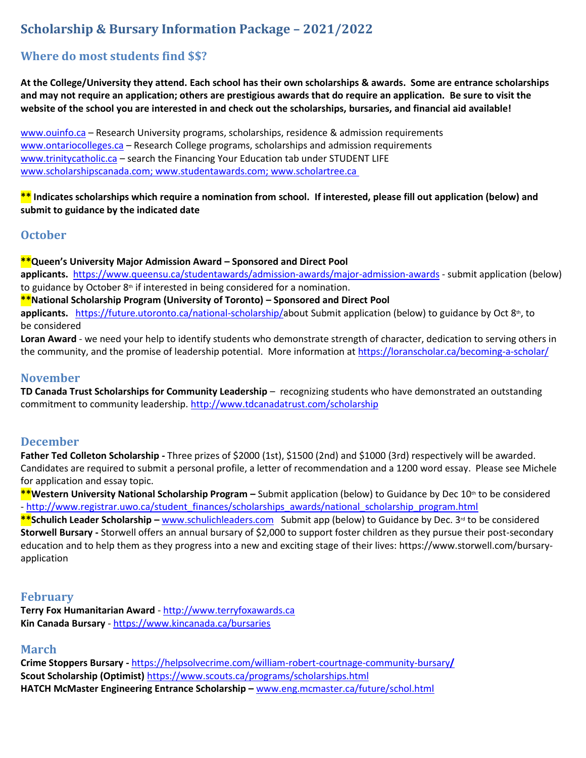## **Scholarship & Bursary Information Package – 2021/2022**

## **Where do most students find \$\$?**

**At the College/University they attend. Each school has their own scholarships & awards. Some are entrance scholarships and may not require an application; others are prestigious awards that do require an application. Be sure to visit the website of the school you are interested in and check out the scholarships, bursaries, and financial aid available!**

[www.ouinfo.ca](http://www.ouinfo.ca/) – Research University programs, scholarships, residence & admission requirements [www.ontariocolleges.ca](http://www.lprca.on.ca/) – Research College programs, scholarships and admission requirements [www.trinitycatholic.ca](http://www.trinitycatholic.ca/) – search the Financing Your Education tab under STUDENT LIFE [www.scholarshipscanada.com;](http://www.scholarshipscanada.com/) [www.studentawards.com;](http://www.studentawards.com/) [www.scholartree.ca](http://www.scholartree.ca/)

**\*\* Indicates scholarships which require a nomination from school. If interested, please fill out application (below) and submit to guidance by the indicated date**

### **October**

#### **\*\*Queen's University Major Admission Award – Sponsored and Direct Pool**

**applicants.** <https://www.queensu.ca/studentawards/admission-awards/major-admission-awards> - submit application (below) to guidance by October  $8<sup>th</sup>$  if interested in being considered for a nomination.

**\*\*National Scholarship Program (University of Toronto) – Sponsored and Direct Pool** 

applicants. [https://future.utoronto.ca/national-scholarship/a](https://future.utoronto.ca/national-scholarship/about/)bout Submit application (below) to guidance by Oct 8<sup>th</sup>, to be considered

**Loran Award** - we need your help to identify students who demonstrate strength of character, dedication to serving others in the community, and the promise of leadership potential. More information at<https://loranscholar.ca/becoming-a-scholar/>

### **November**

**TD Canada Trust Scholarships for Community Leadership** – recognizing students who have demonstrated an outstanding commitment to community leadership. <http://www.tdcanadatrust.com/scholarship>

### **December**

**Father Ted Colleton Scholarship -** Three prizes of \$2000 (1st), \$1500 (2nd) and \$1000 (3rd) respectively will be awarded. Candidates are required to submit a personal profile, a letter of recommendation and a 1200 word essay. Please see Michele for application and essay topic.

**\*\*Western University National Scholarship Program – Submit application (below) to Guidance by Dec 10<sup>th</sup> to be considered** - [http://www.registrar.uwo.ca/student\\_finances/scholarships\\_awards/national\\_scholarship\\_program.html](http://www.registrar.uwo.ca/student_finances/scholarships_awards/national_scholarship_program.html)

\*\*Schulich Leader Scholarship – [www.schulichleaders.com](https://www.queensu.ca/studentawards/admission-awards/major-admission-awards) Submit app (below) to Guidance by Dec. 3<sup>rd</sup> to be considered **Storwell Bursary -** Storwell offers an annual bursary of \$2,000 to support foster children as they pursue their post-secondary education and to help them as they progress into a new and exciting stage of their lives: https://www.storwell.com/bursaryapplication

### **February**

**Terry Fox Humanitarian Award** - [http://www.terryfoxawards.ca](http://www.canlearn.ca/) **Kin Canada Bursary** - [https://www.kincanada.ca/bursaries](https://www.horatioalger.ca/en/scholarships)

### **March**

**Crime Stoppers Bursary -** [https://helpsolvecrime.com/william-robert-courtnage-community-bursary](https://helpsolvecrime.com/william-robert-courtnage-community-bursary/)**/ Scout Scholarship (Optimist)** [https://www.scouts.ca/programs/scholarships.html](https://www3.adm.utoronto.ca/National/closed.php) **HATCH McMaster Engineering Entrance Scholarship –** [www.eng.mcmaster.ca/future/schol.html](http://www.eng.mcmaster.ca/future/schol.html)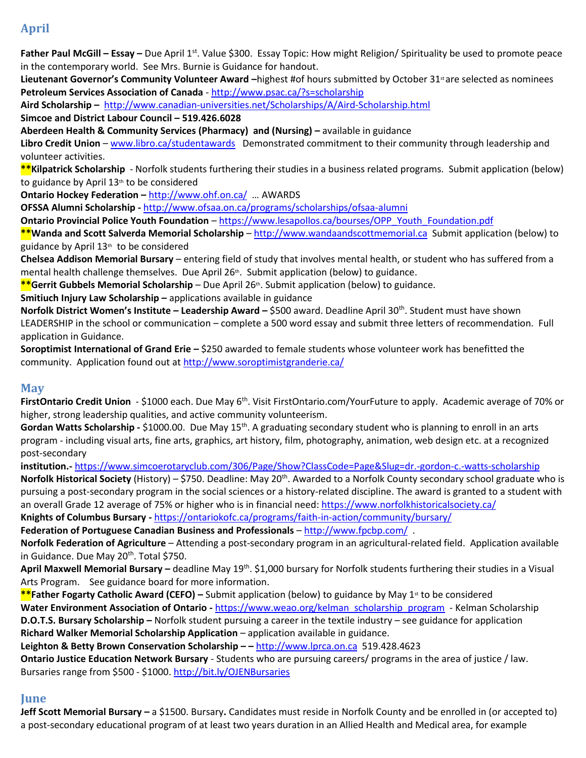## **April**

Father Paul McGill – Essay – Due April 1<sup>st</sup>. Value \$300. Essay Topic: How might Religion/ Spirituality be used to promote peace in the contemporary world. See Mrs. Burnie is Guidance for handout.

Lieutenant Governor's Community Volunteer Award –highest #of hours submitted by October 31<sup>st</sup>are selected as nominees **Petroleum Services Association of Canada** - [http://www.psac.ca/?s=scholarship](https://www.kincanada.ca/bursaries?s=scholarship)

**Aird Scholarship –** <http://www.canadian-universities.net/Scholarships/A/Aird-Scholarship.html>

**Simcoe and District Labour Council – 519.426.6028**

**Aberdeen Health & Community Services (Pharmacy) and (Nursing) –** available in guidance

**Libro Credit Union** – [www.libro.ca/studentawards](http://www.vittoria.on.ca/scholarship.htm) Demonstrated commitment to their community through leadership and volunteer activities.

**\*\*Kilpatrick Scholarship** - Norfolk students furthering their studies in a business related programs. Submit application (below) to guidance by April 13<sup>th</sup> to be considered

**Ontario Hockey Federation –** [http://www.ohf.on.ca/](https://yconic.com/) … AWARDS

**OFSSA Alumni Scholarship -** <http://www.ofsaa.on.ca/programs/scholarships/ofsaa-alumni>

**Ontario Provincial Police Youth Foundation** – [https://www.lesapollos.ca/bourses/OPP\\_Youth\\_Foundation.pdf](https://www.scouts.ca/programs/scholarships.html)

**\*\*Wanda and Scott Salverda Memorial Scholarship** – [http://www.wandaandscottmemorial.ca](http://www.wandaandscottmemorial.ca/) Submit application (below) to guidance by April 13th to be considered

**Chelsea Addison Memorial Bursary** – entering field of study that involves mental health, or student who has suffered from a mental health challenge themselves. Due April 26<sup>th</sup>. Submit application (below) to guidance.

**\*\*Gerrit Gubbels Memorial Scholarship** – Due April 26th. Submit application (below) to guidance.

**Smitiuch Injury Law Scholarship –** applications available in guidance

**Norfolk District Women's Institute – Leadership Award – \$500 award. Deadline April 30<sup>th</sup>. Student must have shown** LEADERSHIP in the school or communication – complete a 500 word essay and submit three letters of recommendation. Full application in Guidance.

**Soroptimist International of Grand Erie –** \$250 awarded to female students whose volunteer work has benefitted the community. Application found out a[t http://www.soroptimistgranderie.ca/](http://www.libro.ca/studentawards)

### **May**

FirstOntario Credit Union - \$1000 each. Due May 6<sup>th</sup>. Visit FirstOntario.com/YourFuture to apply. Academic average of 70% or higher, strong leadership qualities, and active community volunteerism.

**Gordan Watts Scholarship -** \$1000.00. Due May 15th. A graduating secondary student who is planning to enroll in an arts program - including visual arts, fine arts, graphics, art history, film, photography, animation, web design etc. at a recognized post-secondary

**institution.-** <https://www.simcoerotaryclub.com/306/Page/Show?ClassCode=Page&Slug=dr.-gordon-c.-watts-scholarship> Norfolk Historical Society (History) – \$750. Deadline: May 20<sup>th</sup>. Awarded to a Norfolk County secondary school graduate who is pursuing a post-secondary program in the social sciences or a history-related discipline. The award is granted to a student with an overall Grade 12 average of 75% or higher who is in financial need: <https://www.norfolkhistoricalsociety.ca/> **Knights of Columbus Bursary -** [https://ontariokofc.ca/programs/faith-in-action/community/bursary/](https://www.lesapollos.ca/bourses/OPP_Youth_Foundation.pdf)

**Federation of Portuguese Canadian Business and Professionals** – <http://www.fpcbp.com/> .

**Norfolk Federation of Agriculture** – Attending a post-secondary program in an agricultural-related field. Application available in Guidance. Due May 20<sup>th</sup>. Total \$750.

April Maxwell Memorial Bursary – deadline May 19<sup>th</sup>. \$1,000 bursary for Norfolk students furthering their studies in a Visual Arts Program. See guidance board for more information.

**\*\*Father Fogarty Catholic Award (CEFO)** – Submit application (below) to guidance by May 1<sup>st</sup> to be considered **Water Environment Association of Ontario -** [https://www.weao.org/kelman\\_scholarship\\_program](https://www.weao.org/kelman_scholarship_program) - Kelman Scholarship **D.O.T.S. Bursary Scholarship –** Norfolk student pursuing a career in the textile industry – see guidance for application **Richard Walker Memorial Scholarship Application** – application available in guidance.

**Leighton & Betty Brown Conservation Scholarship – –** [http://www.lprca.on.ca](http://www.schulichleaders.com/) 519.428.4623

**Ontario Justice Education Network Bursary** - Students who are pursuing careers/ programs in the area of justice / law. Bursaries range from \$500 - \$1000. <http://bit.ly/OJENBursaries>

### **June**

**Jeff Scott Memorial Bursary –** a \$1500. Bursary**.** Candidates must reside in Norfolk County and be enrolled in (or accepted to) a post-secondary educational program of at least two years duration in an Allied Health and Medical area, for example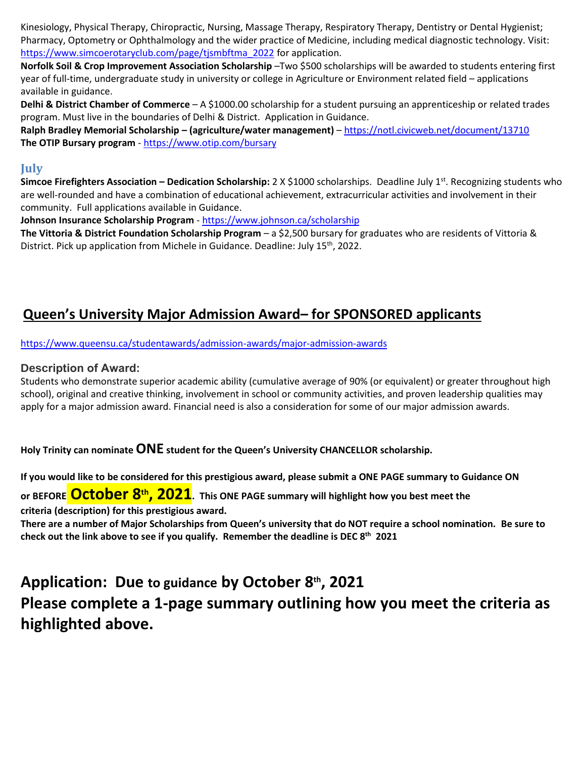Kinesiology, Physical Therapy, Chiropractic, Nursing, Massage Therapy, Respiratory Therapy, Dentistry or Dental Hygienist; Pharmacy, Optometry or Ophthalmology and the wider practice of Medicine, including medical diagnostic technology. Visit: [https://www.simcoerotaryclub.com/page/tjsmbftma\\_2022](https://www.simcoerotaryclub.com/page/tjsmbftma_2022) for application.

**Norfolk Soil & Crop Improvement Association Scholarship** –Two \$500 scholarships will be awarded to students entering first year of full-time, undergraduate study in university or college in Agriculture or Environment related field – applications available in guidance.

**Delhi & District Chamber of Commerce** – A \$1000.00 scholarship for a student pursuing an apprenticeship or related trades program. Must live in the boundaries of Delhi & District. Application in Guidance.

**Ralph Bradley Memorial Scholarship – (agriculture/water management)** – [https://notl.civicweb.net/document/13710](http://www.soroptimistgranderie.ca/) **The OTIP Bursary program** - [https://www.otip.com/bursary](http://www.ohf.on.ca/)

### **July**

**Simcoe Firefighters Association – Dedication Scholarship:** 2 X \$1000 scholarships. Deadline July 1<sup>st</sup>. Recognizing students who are well-rounded and have a combination of educational achievement, extracurricular activities and involvement in their community. Full applications available in Guidance.

**Johnson Insurance Scholarship Program** - <https://www.johnson.ca/scholarship>

**The Vittoria & District Foundation Scholarship Program** – a \$2,500 bursary for graduates who are residents of Vittoria & District. Pick up application from Michele in Guidance. Deadline: July 15<sup>th</sup>, 2022.

## **Queen's University Major Admission Award– for SPONSORED applicants**

[https://www.queensu.ca/studentawards/admission-awards/major-admission-awards](https://ontariokofc.ca/programs/faith-in-action/community/bursary/)

### **Description of Award:**

Students who demonstrate superior academic ability (cumulative average of 90% (or equivalent) or greater throughout high school), original and creative thinking, involvement in school or community activities, and proven leadership qualities may apply for a major admission award. Financial need is also a consideration for some of our major admission awards.

**Holy Trinity can nominateONE student for the Queen's University CHANCELLOR scholarship.**

**If you would like to be considered for this prestigious award, please submit a ONE PAGE summary to Guidance ON or BEFORE October 8 th, 2021. This ONE PAGE summary will highlight how you best meet the criteria (description) for this prestigious award. There are a number of Major Scholarships from Queen's university that do NOT require a school nomination. Be sure to** 

**check out the link above to see if you qualify. Remember the deadline is DEC 8 th 2021**

**Application: Due to guidance by October 8 th, 2021 Please complete a 1-page summary outlining how you meet the criteria as highlighted above.**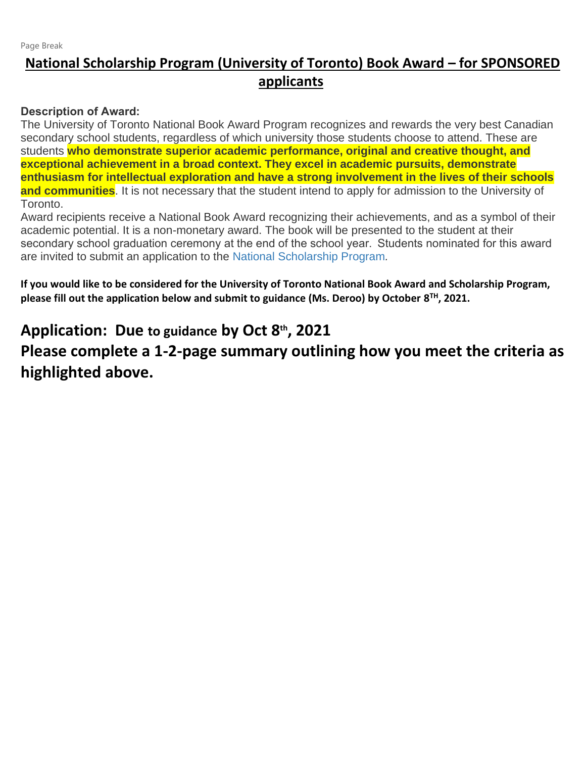## **National Scholarship Program (University of Toronto) Book Award – for SPONSORED applicants**

### **Description of Award:**

The University of Toronto National Book Award Program recognizes and rewards the very best Canadian secondary school students, regardless of which university those students choose to attend. These are students **who demonstrate superior academic performance, original and creative thought, and exceptional achievement in a broad context. They excel in academic pursuits, demonstrate enthusiasm for intellectual exploration and have a strong involvement in the lives of their schools and communities**. It is not necessary that the student intend to apply for admission to the University of Toronto.

Award recipients receive a National Book Award recognizing their achievements, and as a symbol of their academic potential. It is a non-monetary award. The book will be presented to the student at their secondary school graduation ceremony at the end of the school year.  Students nominated for this award are invited to submit an application to the [National Scholarship Program](http://www.future.utoronto.ca/national)*.*

**If you would like to be considered for the University of Toronto National Book Award and Scholarship Program, please fill out the application below and submit to guidance (Ms. Deroo) by October 8 TH, 2021.**

# **Application: Due to guidance by Oct 8 th, 2021**

**Please complete a 1-2-page summary outlining how you meet the criteria as highlighted above.**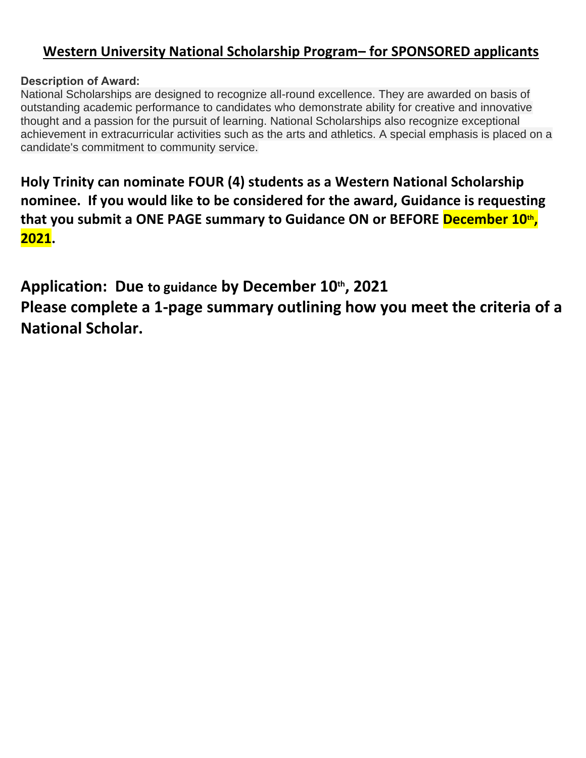## **Western University National Scholarship Program– for SPONSORED applicants**

## **Description of Award:**

National Scholarships are designed to recognize all-round excellence. They are awarded on basis of outstanding academic performance to candidates who demonstrate ability for creative and innovative thought and a passion for the pursuit of learning. National Scholarships also recognize exceptional achievement in extracurricular activities such as the arts and athletics. A special emphasis is placed on a candidate's commitment to community service.

**Holy Trinity can nominate FOUR (4) students as a Western National Scholarship nominee. If you would like to be considered for the award, Guidance is requesting that you submit a ONE PAGE summary to Guidance ON or BEFORE December 10 th , 2021.**

**Application: Due to guidance by December 10 th, 2021 Please complete a 1-page summary outlining how you meet the criteria of a National Scholar.**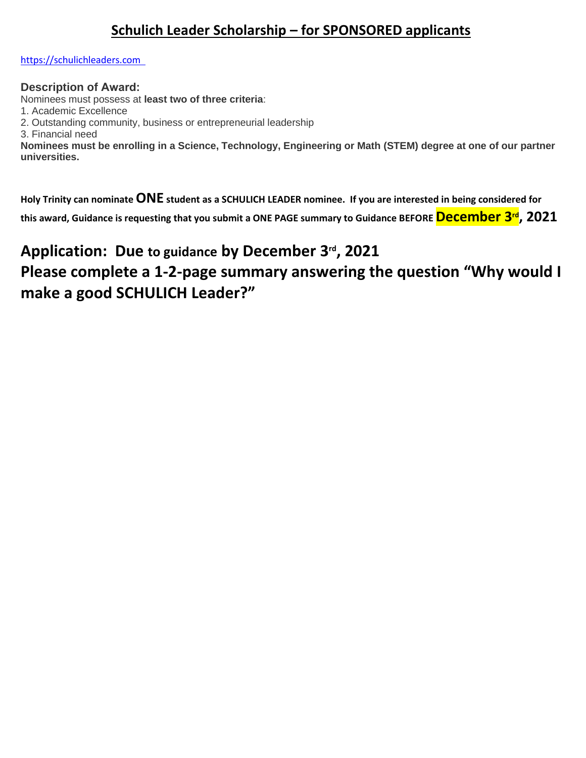## **Schulich Leader Scholarship – for SPONSORED applicants**

### [https://schulichleaders.com](https://schulichleaders.com/)

### **Description of Award:**

Nominees must possess at **least two of three criteria**:

1. Academic Excellence

2. Outstanding community, business or entrepreneurial leadership

3. Financial need

**Nominees must be enrolling in a Science, Technology, Engineering or Math (STEM) degree at one of our partner universities.**

**Holy Trinity can nominateONE student as a SCHULICH LEADER nominee. If you are interested in being considered for this award, Guidance is requesting that you submit a ONE PAGE summary to Guidance BEFORE December 3 rd, 2021**

# **Application: Due to guidance by December 3 rd, 2021**

# **Please complete a 1-2-page summary answering the question "Why would I make a good SCHULICH Leader?"**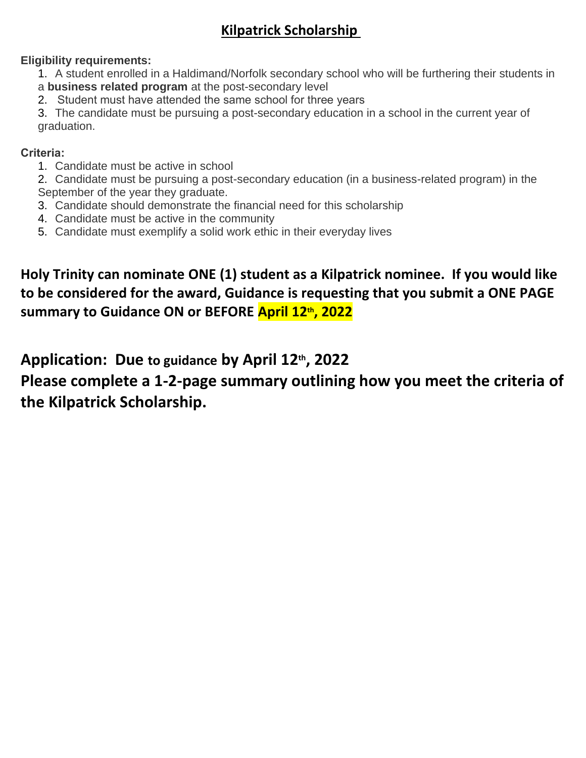# **Kilpatrick Scholarship**

## **Eligibility requirements:**

1. A student enrolled in a Haldimand/Norfolk secondary school who will be furthering their students in a **business related program** at the post-secondary level

2.  Student must have attended the same school for three years

3. The candidate must be pursuing a post-secondary education in a school in the current year of graduation.

### **Criteria:**

1. Candidate must be active in school

2. Candidate must be pursuing a post-secondary education (in a business-related program) in the September of the year they graduate.

- 3. Candidate should demonstrate the financial need for this scholarship
- 4. Candidate must be active in the community
- 5. Candidate must exemplify a solid work ethic in their everyday lives

**Holy Trinity can nominate ONE (1) student as a Kilpatrick nominee. If you would like to be considered for the award, Guidance is requesting that you submit a ONE PAGE summary to Guidance ON or BEFORE April 12 th, 2022**

# **Application: Due to guidance by April 12 th, 2022**

**Please complete a 1-2-page summary outlining how you meet the criteria of the Kilpatrick Scholarship.**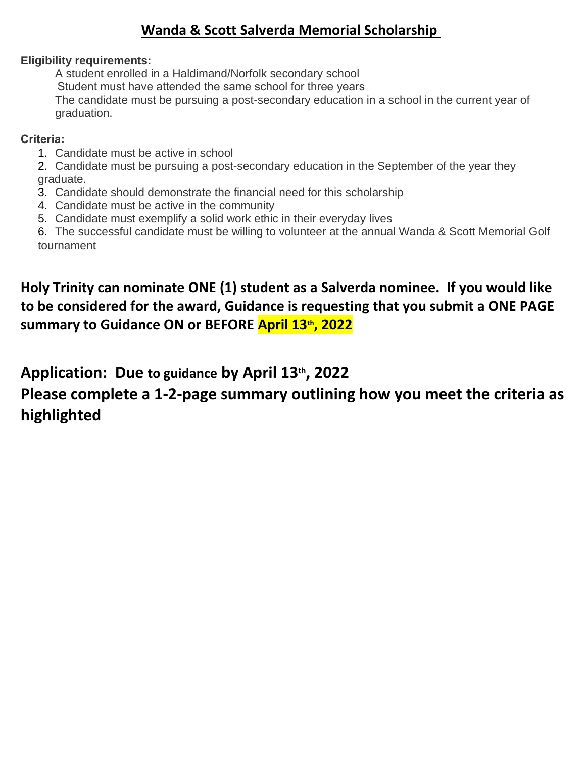## **Wanda & Scott Salverda Memorial Scholarship**

### **Eligibility requirements:**

A student enrolled in a Haldimand/Norfolk secondary school  Student must have attended the same school for three years The candidate must be pursuing a post-secondary education in a school in the current year of graduation.

### **Criteria:**

1. Candidate must be active in school

2. Candidate must be pursuing a post-secondary education in the September of the year they graduate.

- 3. Candidate should demonstrate the financial need for this scholarship
- 4. Candidate must be active in the community
- 5. Candidate must exemplify a solid work ethic in their everyday lives

6. The successful candidate must be willing to volunteer at the annual Wanda & Scott Memorial Golf tournament

# **Holy Trinity can nominate ONE (1) student as a Salverda nominee. If you would like to be considered for the award, Guidance is requesting that you submit a ONE PAGE summary to Guidance ON or BEFORE April 13th, 2022**

## **Application: Due to guidance by April 13th, 2022**

# **Please complete a 1-2-page summary outlining how you meet the criteria as highlighted**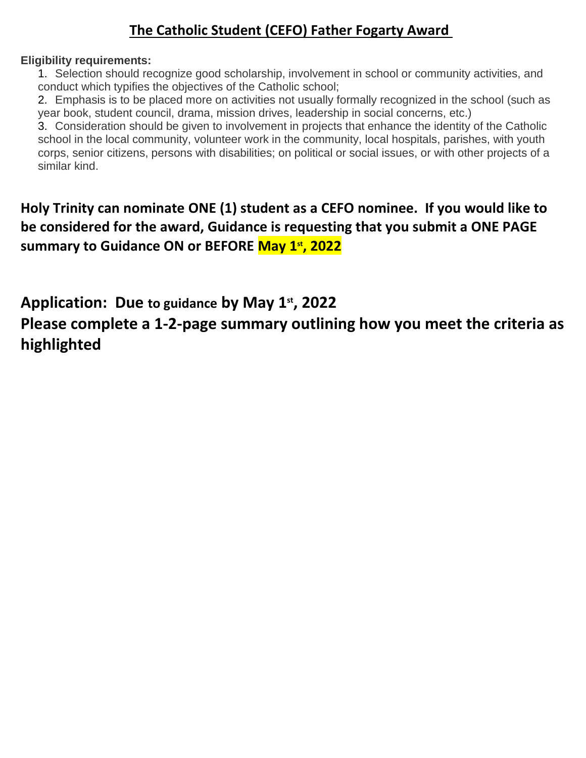## **The Catholic Student (CEFO) Father Fogarty Award**

### **Eligibility requirements:**

1. Selection should recognize good scholarship, involvement in school or community activities, and conduct which typifies the objectives of the Catholic school;

2. Emphasis is to be placed more on activities not usually formally recognized in the school (such as year book, student council, drama, mission drives, leadership in social concerns, etc.)

3. Consideration should be given to involvement in projects that enhance the identity of the Catholic school in the local community, volunteer work in the community, local hospitals, parishes, with youth corps, senior citizens, persons with disabilities; on political or social issues, or with other projects of a similar kind.

**Holy Trinity can nominate ONE (1) student as a CEFO nominee. If you would like to be considered for the award, Guidance is requesting that you submit a ONE PAGE summary to Guidance ON or BEFORE May 1st, 2022**

**Application: Due to guidance by May 1st, 2022**

**Please complete a 1-2-page summary outlining how you meet the criteria as highlighted**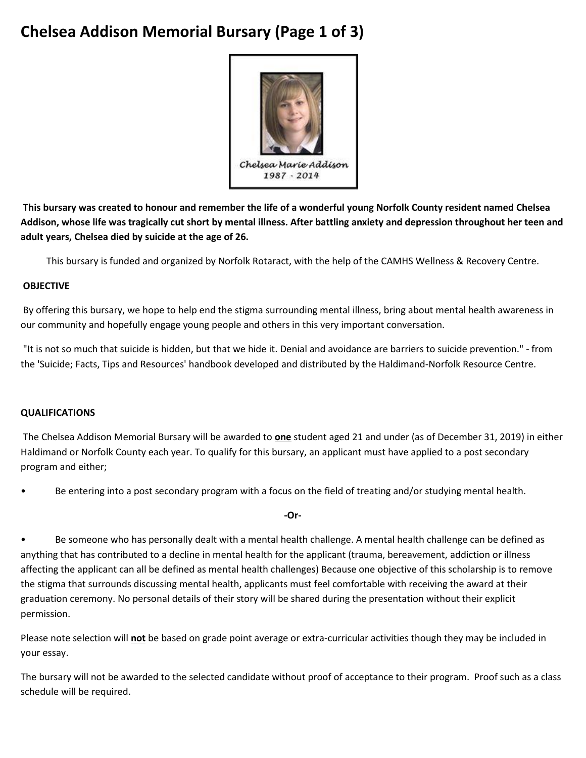# **Chelsea Addison Memorial Bursary (Page 1 of 3)**



**This bursary was created to honour and remember the life of a wonderful young Norfolk County resident named Chelsea Addison, whose life was tragically cut short by mental illness. After battling anxiety and depression throughout her teen and adult years, Chelsea died by suicide at the age of 26.**

This bursary is funded and organized by Norfolk Rotaract, with the help of the CAMHS Wellness & Recovery Centre.

#### **OBJECTIVE**

By offering this bursary, we hope to help end the stigma surrounding mental illness, bring about mental health awareness in our community and hopefully engage young people and others in this very important conversation.

"It is not so much that suicide is hidden, but that we hide it. Denial and avoidance are barriers to suicide prevention." - from the 'Suicide; Facts, Tips and Resources' handbook developed and distributed by the Haldimand-Norfolk Resource Centre.

#### **QUALIFICATIONS**

The Chelsea Addison Memorial Bursary will be awarded to **one** student aged 21 and under (as of December 31, 2019) in either Haldimand or Norfolk County each year. To qualify for this bursary, an applicant must have applied to a post secondary program and either;

• Be entering into a post secondary program with a focus on the field of treating and/or studying mental health.

**-Or-**

• Be someone who has personally dealt with a mental health challenge. A mental health challenge can be defined as anything that has contributed to a decline in mental health for the applicant (trauma, bereavement, addiction or illness affecting the applicant can all be defined as mental health challenges) Because one objective of this scholarship is to remove the stigma that surrounds discussing mental health, applicants must feel comfortable with receiving the award at their graduation ceremony. No personal details of their story will be shared during the presentation without their explicit permission.

Please note selection will **not** be based on grade point average or extra-curricular activities though they may be included in your essay.

The bursary will not be awarded to the selected candidate without proof of acceptance to their program. Proof such as a class schedule will be required.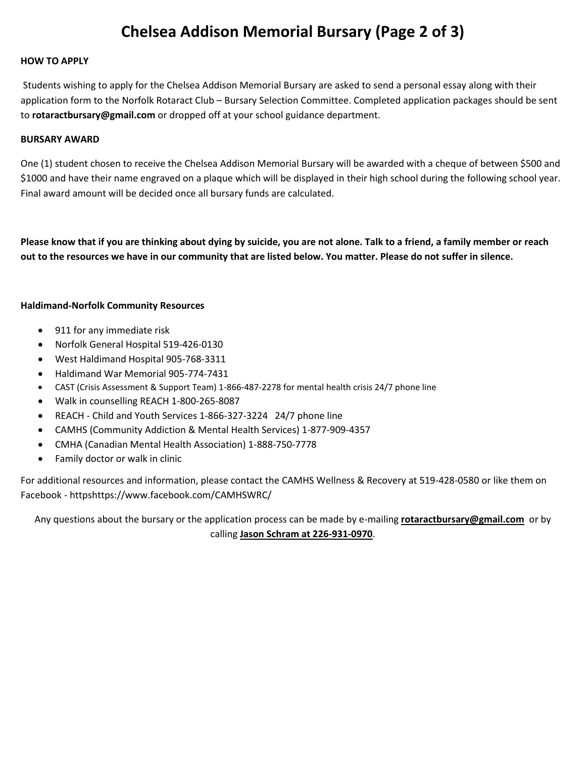# **Chelsea Addison Memorial Bursary (Page 2 of 3)**

#### **HOW TO APPLY**

Students wishing to apply for the Chelsea Addison Memorial Bursary are asked to send a personal essay along with their application form to the Norfolk Rotaract Club – Bursary Selection Committee. Completed application packages should be sent to **rotaractbursary@gmail.com** or dropped off at your school guidance department.

#### **BURSARY AWARD**

One (1) student chosen to receive the Chelsea Addison Memorial Bursary will be awarded with a cheque of between \$500 and \$1000 and have their name engraved on a plaque which will be displayed in their high school during the following school year. Final award amount will be decided once all bursary funds are calculated.

**Please know that if you are thinking about dying by suicide, you are not alone. Talk to a friend, a family member or reach out to the resources we have in our community that are listed below. You matter. Please do not suffer in silence.**

#### **Haldimand-Norfolk Community Resources**

- 911 for any immediate risk
- Norfolk General Hospital 519-426-0130
- West Haldimand Hospital 905-768-3311
- Haldimand War Memorial 905-774-7431
- CAST (Crisis Assessment & Support Team) 1-866-487-2278 for mental health crisis 24/7 phone line
- Walk in counselling REACH 1-800-265-8087
- REACH Child and Youth Services 1-866-327-3224 24/7 phone line
- CAMHS (Community Addiction & Mental Health Services) 1-877-909-4357
- CMHA (Canadian Mental Health Association) 1-888-750-7778
- Family doctor or walk in clinic

For additional resources and information, please contact the CAMHS Wellness & Recovery at 519-428-0580 or like them on Facebook - httpshttps://www.facebook.com/CAMHSWRC/

Any questions about the bursary or the application process can be made by e-mailing **rotaractbursary@gmail.com** or by calling **Jason Schram at 226-931-0970**.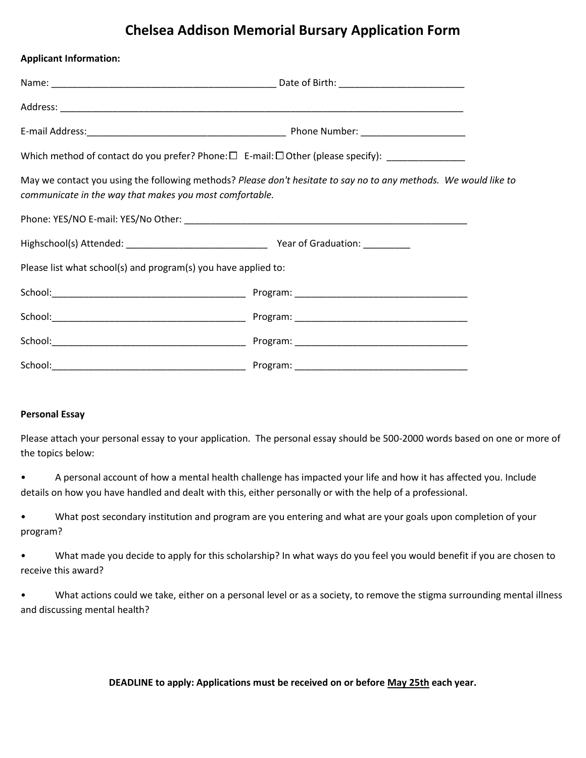## **Chelsea Addison Memorial Bursary Application Form**

| <b>Applicant Information:</b>                                  |                                                                                                                  |
|----------------------------------------------------------------|------------------------------------------------------------------------------------------------------------------|
|                                                                |                                                                                                                  |
|                                                                |                                                                                                                  |
|                                                                |                                                                                                                  |
|                                                                | Which method of contact do you prefer? Phone: $\Box$ E-mail: $\Box$ Other (please specify): ________________     |
| communicate in the way that makes you most comfortable.        | May we contact you using the following methods? Please don't hesitate to say no to any methods. We would like to |
|                                                                |                                                                                                                  |
|                                                                |                                                                                                                  |
| Please list what school(s) and program(s) you have applied to: |                                                                                                                  |
|                                                                |                                                                                                                  |
|                                                                |                                                                                                                  |
|                                                                |                                                                                                                  |
| School:                                                        |                                                                                                                  |

#### **Personal Essay**

Please attach your personal essay to your application. The personal essay should be 500-2000 words based on one or more of the topics below:

• A personal account of how a mental health challenge has impacted your life and how it has affected you. Include details on how you have handled and dealt with this, either personally or with the help of a professional.

• What post secondary institution and program are you entering and what are your goals upon completion of your program?

• What made you decide to apply for this scholarship? In what ways do you feel you would benefit if you are chosen to receive this award?

What actions could we take, either on a personal level or as a society, to remove the stigma surrounding mental illness and discussing mental health?

**DEADLINE to apply: Applications must be received on or before May 25th each year.**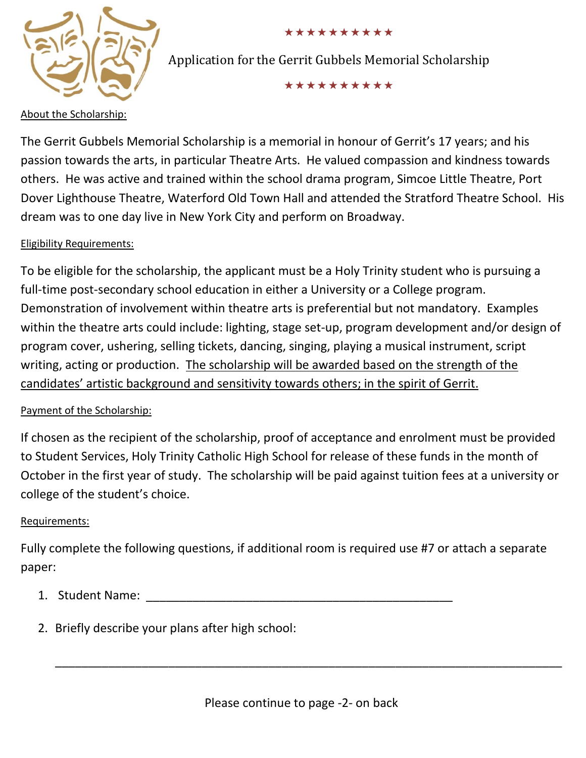

### \*\*\*\*\*\*\*\*\*\*

Application for the Gerrit Gubbels Memorial Scholarship

\*\*\*\*\*\*\*\*\*\*

### About the Scholarship:

The Gerrit Gubbels Memorial Scholarship is a memorial in honour of Gerrit's 17 years; and his passion towards the arts, in particular Theatre Arts. He valued compassion and kindness towards others. He was active and trained within the school drama program, Simcoe Little Theatre, Port Dover Lighthouse Theatre, Waterford Old Town Hall and attended the Stratford Theatre School. His dream was to one day live in New York City and perform on Broadway.

## Eligibility Requirements:

To be eligible for the scholarship, the applicant must be a Holy Trinity student who is pursuing a full-time post-secondary school education in either a University or a College program. Demonstration of involvement within theatre arts is preferential but not mandatory. Examples within the theatre arts could include: lighting, stage set-up, program development and/or design of program cover, ushering, selling tickets, dancing, singing, playing a musical instrument, script writing, acting or production. The scholarship will be awarded based on the strength of the candidates' artistic background and sensitivity towards others; in the spirit of Gerrit.

## Payment of the Scholarship:

If chosen as the recipient of the scholarship, proof of acceptance and enrolment must be provided to Student Services, Holy Trinity Catholic High School for release of these funds in the month of October in the first year of study. The scholarship will be paid against tuition fees at a university or college of the student's choice.

## Requirements:

Fully complete the following questions, if additional room is required use #7 or attach a separate paper:

- 1. Student Name:
- 2. Briefly describe your plans after high school:

\_\_\_\_\_\_\_\_\_\_\_\_\_\_\_\_\_\_\_\_\_\_\_\_\_\_\_\_\_\_\_\_\_\_\_\_\_\_\_\_\_\_\_\_\_\_\_\_\_\_\_\_\_\_\_\_\_\_\_\_\_\_\_\_\_\_\_\_\_\_\_\_\_\_\_\_